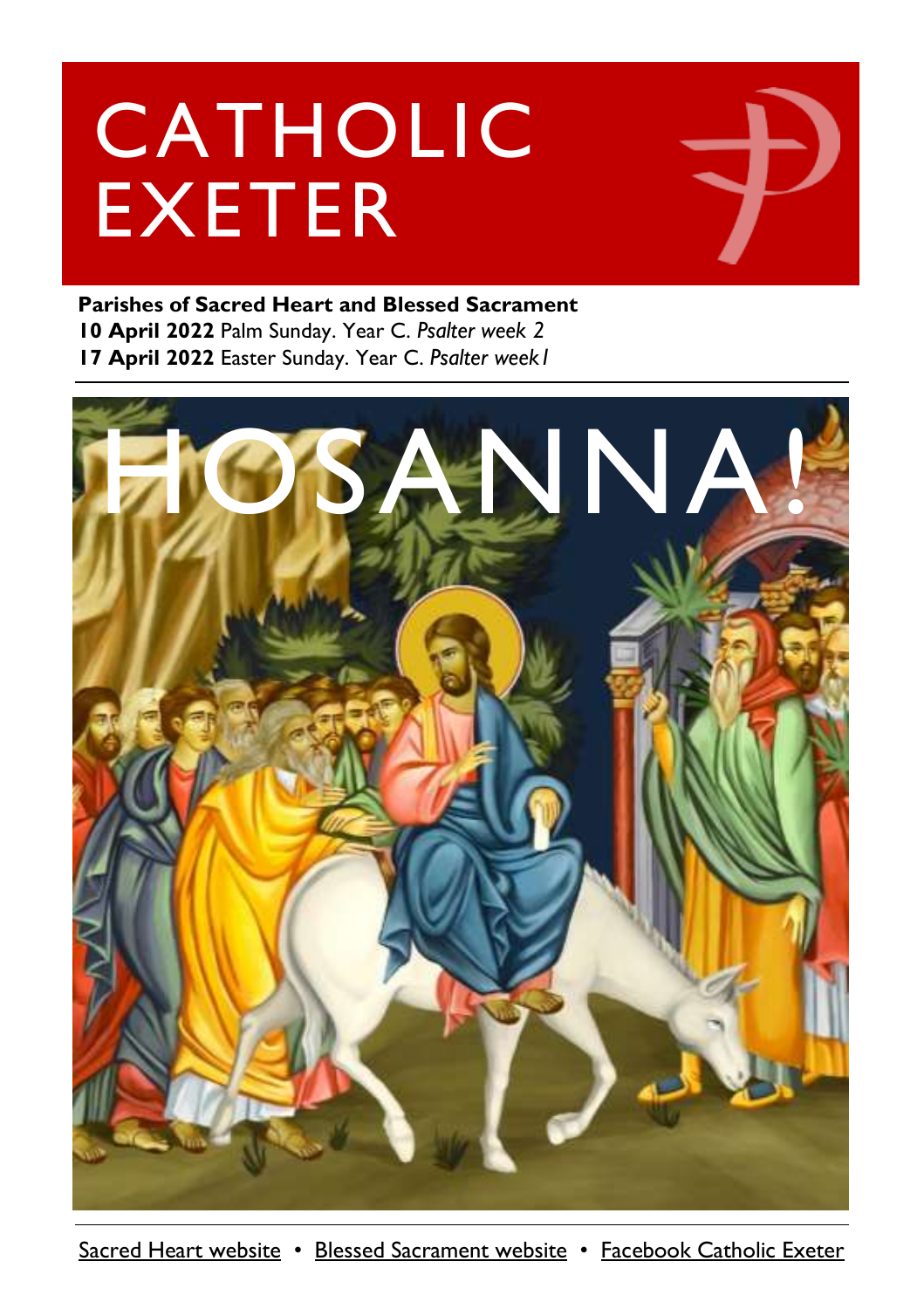# CATHOLIC EXETER

#### **Parishes of Sacred Heart and Blessed Sacrament 10 April 2022** Palm Sunday. Year C. *Psalter week 2* **17 April 2022** Easter Sunday. Year C. *Psalter week1*



[Sacred Heart website](https://www.sacredheartexeter.org/) • [Blessed Sacrament website](https://www.blessedsacrament.org.uk/) • [Facebook Catholic Exeter](https://www.facebook.com/CatholicExeter)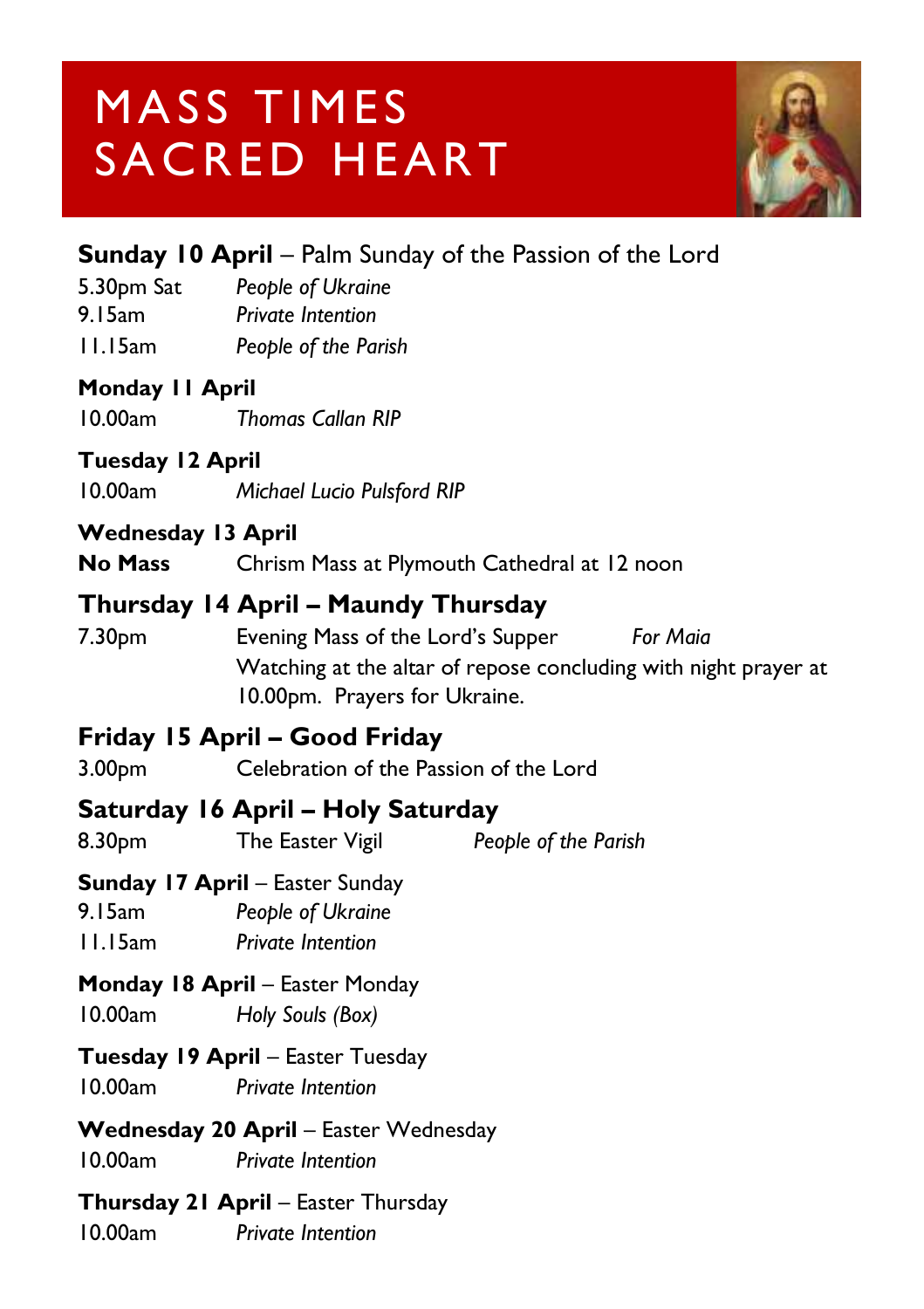### MASS TIMES SACRED HEART



#### 5.30pm Sat *People of Ukraine* 9.15am *Private Intention* 11.15am *People of the Parish* **Monday 11 April** 10.00am *Thomas Callan RIP* **Tuesday 12 April**

**Sunday 10 April** – Palm Sunday of the Passion of the Lord

10.00am *Michael Lucio Pulsford RIP*

#### **Wednesday 13 April**

**No Mass** Chrism Mass at Plymouth Cathedral at 12 noon

#### **Thursday 14 April – Maundy Thursday**

7.30pm Evening Mass of the Lord's Supper *For Maia* Watching at the altar of repose concluding with night prayer at 10.00pm. Prayers for Ukraine.

#### **Friday 15 April – Good Friday**

3.00pm Celebration of the Passion of the Lord

#### **Saturday 16 April – Holy Saturday**

8.30pm The Easter Vigil *People of the Parish*

#### **Sunday 17 April** – Easter Sunday

9.15am *People of Ukraine*  11.15am *Private Intention*

#### **Monday 18 April** – Easter Monday

10.00am *Holy Souls (Box)*

#### **Tuesday 19 April – Easter Tuesday**

10.00am *Private Intention*

#### Wednesday 20 April - Easter Wednesday

10.00am *Private Intention*

#### **Thursday 21 April** – Easter Thursday

10.00am *Private Intention*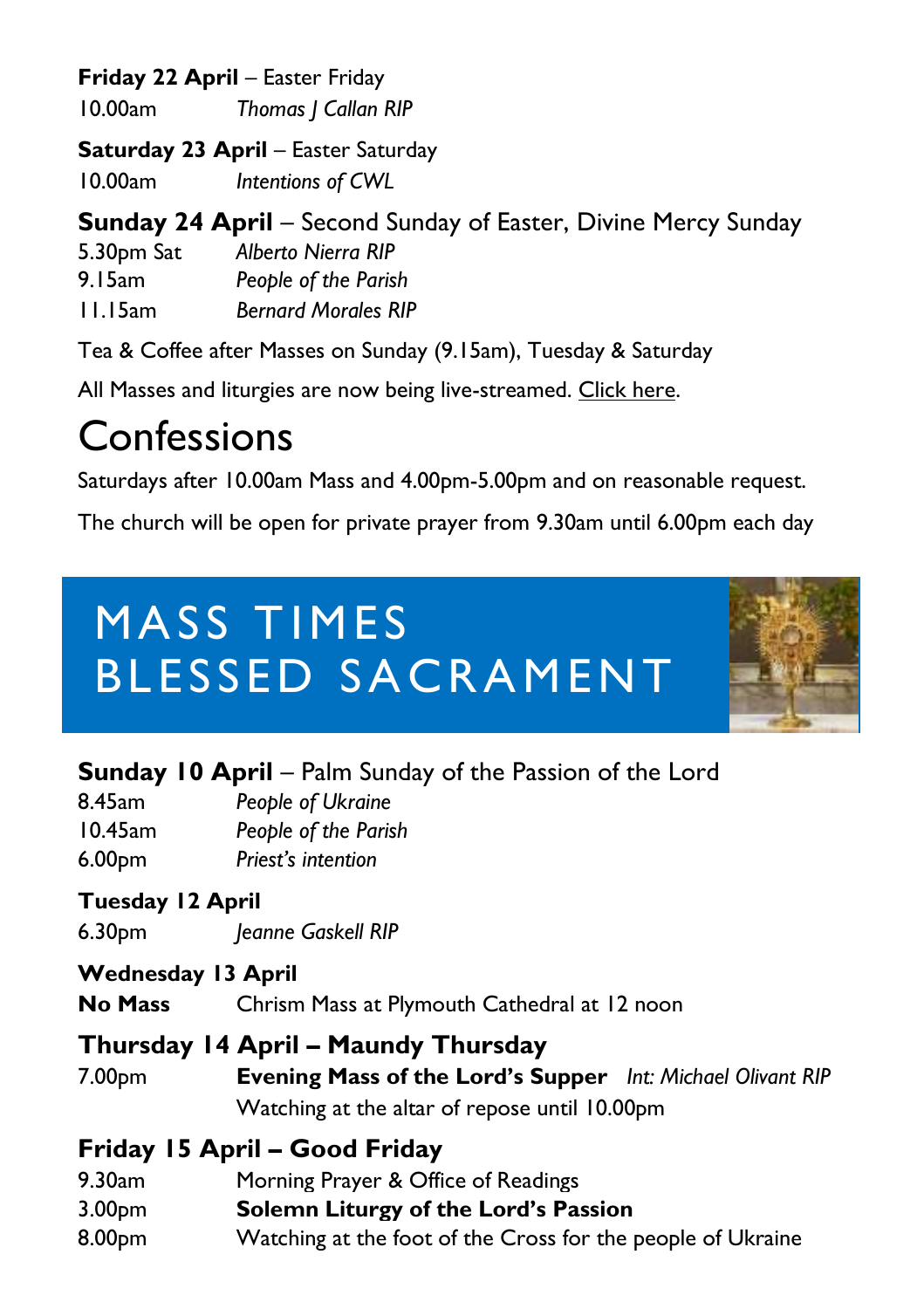#### **Friday 22 April – Easter Friday**

10.00am *Thomas J Callan RIP*

**Saturday 23 April – Easter Saturday** 

10.00am *Intentions of CWL*

#### **Sunday 24 April** – Second Sunday of Easter, Divine Mercy Sunday

| 5.30pm Sat | <b>Alberto Nierra RIP</b> |
|------------|---------------------------|
| 9. I 5am   | People of the Parish      |

11.15am *Bernard Morales RIP*

Tea & Coffee after Masses on Sunday (9.15am), Tuesday & Saturday

All Masses and liturgies are now being live-streamed. [Click here.](https://www.youtube.com/channel/UCqZLydKWQ6CqG2utRNBeKmA)

### Confessions

Saturdays after 10.00am Mass and 4.00pm-5.00pm and on reasonable request.

The church will be open for private prayer from 9.30am until 6.00pm each day

# MASS TIMES BLESSED SACRAMENT



#### **Sunday 10 April** – Palm Sunday of the Passion of the Lord

8.45am *People of Ukraine* 10.45am *People of the Parish* 6.00pm *Priest's intention*

#### **Tuesday 12 April**

6.30pm *Jeanne Gaskell RIP*

#### **Wednesday 13 April**

**No Mass** Chrism Mass at Plymouth Cathedral at 12 noon

#### **Thursday 14 April – Maundy Thursday**

7.00pm **Evening Mass of the Lord's Supper** *Int: Michael Olivant RIP* Watching at the altar of repose until 10.00pm

#### **Friday 15 April – Good Friday**

- 9.30am Morning Prayer & Office of Readings
- 3.00pm **Solemn Liturgy of the Lord's Passion**
- 8.00pm Watching at the foot of the Cross for the people of Ukraine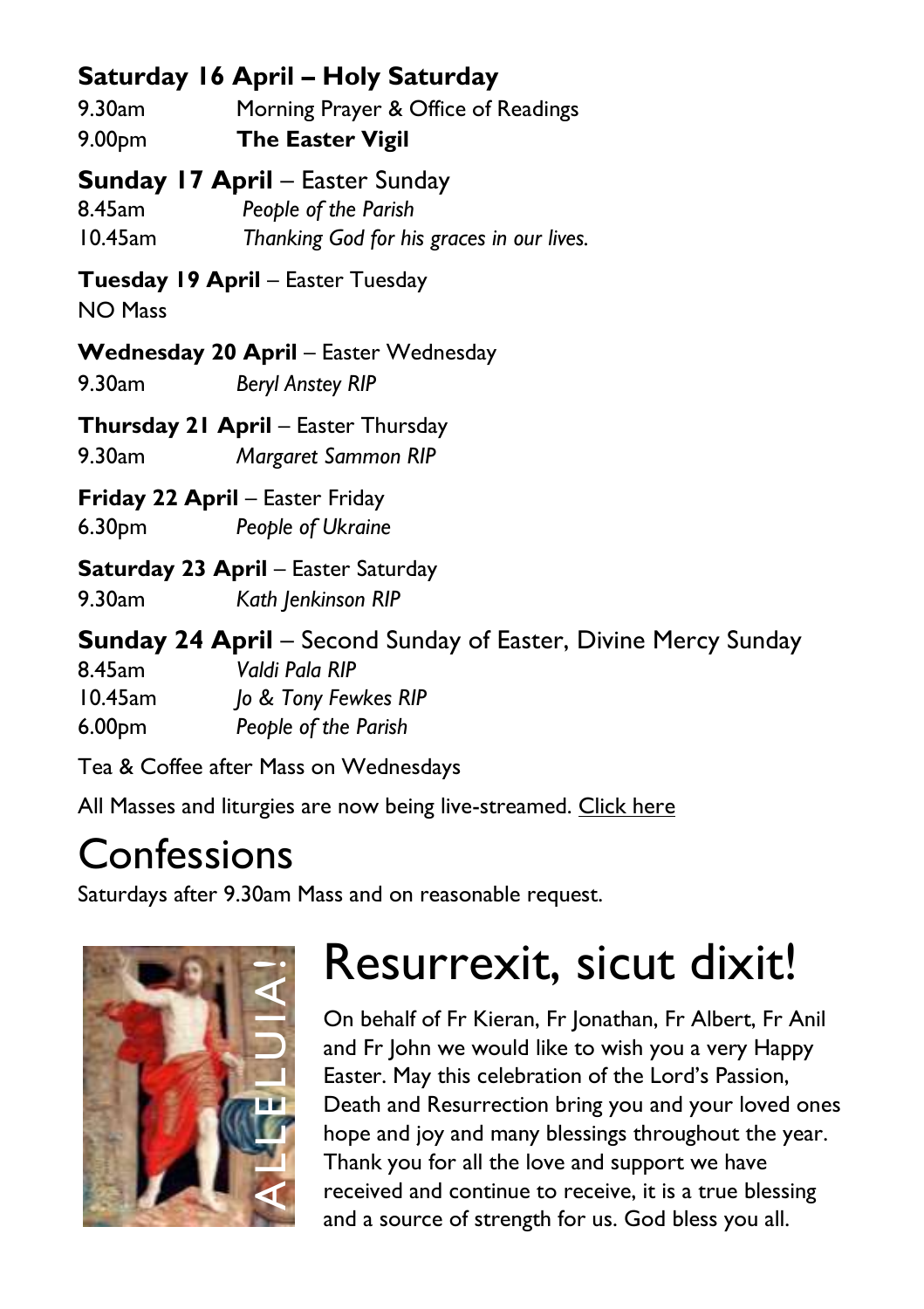#### **Saturday 16 April – Holy Saturday**

9.30am Morning Prayer & Office of Readings 9.00pm **The Easter Vigil**

**Sunday 17 April** – Easter Sunday

8.45am *People of the Parish* 10.45am *Thanking God for his graces in our lives.*

**Tuesday 19 April** – Easter Tuesday

NO Mass

**Wednesday 20 April** – Easter Wednesday 9.30am *Beryl Anstey RIP*

**Thursday 21 April** – Easter Thursday

9.30am *Margaret Sammon RIP*

**Friday 22 April – Easter Friday** 6.30pm *People of Ukraine*

**Saturday 23 April** – Easter Saturday

9.30am *Kath Jenkinson RIP*

**Sunday 24 April** – Second Sunday of Easter, Divine Mercy Sunday 8.45am *Valdi Pala RIP* 10.45am *Jo & Tony Fewkes RIP* 6.00pm *People of the Parish*

Tea & Coffee after Mass on Wednesdays

All Masses and liturgies are now being live-streamed. [Click here](https://www.youtube.com/c/BlessedSacramentExeter)

#### **Confessions**

Saturdays after 9.30am Mass and on reasonable request.



# Resurrexit, sicut dixit!

On behalf of Fr Kieran, Fr Jonathan, Fr Albert, Fr Anil and Fr John we would like to wish you a very Happy Easter. May this celebration of the Lord's Passion, Death and Resurrection bring you and your loved ones hope and joy and many blessings throughout the year. Thank you for all the love and support we have received and continue to receive, it is a true blessing and a source of strength for us. God bless you all.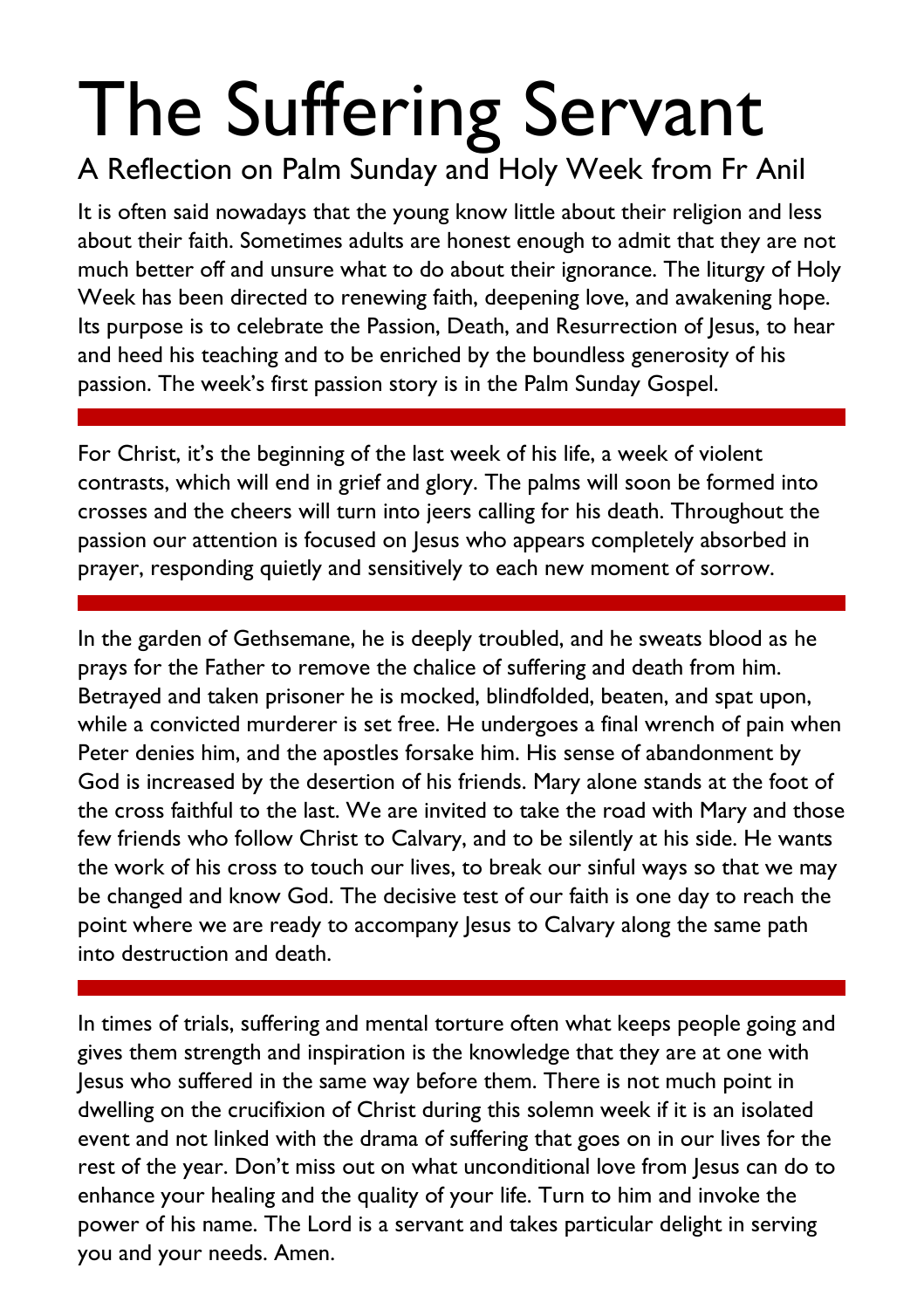# The Suffering Servant

#### A Reflection on Palm Sunday and Holy Week from Fr Anil

It is often said nowadays that the young know little about their religion and less about their faith. Sometimes adults are honest enough to admit that they are not much better off and unsure what to do about their ignorance. The liturgy of Holy Week has been directed to renewing faith, deepening love, and awakening hope. Its purpose is to celebrate the Passion, Death, and Resurrection of Jesus, to hear and heed his teaching and to be enriched by the boundless generosity of his passion. The week's first passion story is in the Palm Sunday Gospel.

For Christ, it's the beginning of the last week of his life, a week of violent contrasts, which will end in grief and glory. The palms will soon be formed into crosses and the cheers will turn into jeers calling for his death. Throughout the passion our attention is focused on Jesus who appears completely absorbed in prayer, responding quietly and sensitively to each new moment of sorrow.

In the garden of Gethsemane, he is deeply troubled, and he sweats blood as he prays for the Father to remove the chalice of suffering and death from him. Betrayed and taken prisoner he is mocked, blindfolded, beaten, and spat upon, while a convicted murderer is set free. He undergoes a final wrench of pain when Peter denies him, and the apostles forsake him. His sense of abandonment by God is increased by the desertion of his friends. Mary alone stands at the foot of the cross faithful to the last. We are invited to take the road with Mary and those few friends who follow Christ to Calvary, and to be silently at his side. He wants the work of his cross to touch our lives, to break our sinful ways so that we may be changed and know God. The decisive test of our faith is one day to reach the point where we are ready to accompany Jesus to Calvary along the same path into destruction and death.

In times of trials, suffering and mental torture often what keeps people going and gives them strength and inspiration is the knowledge that they are at one with Jesus who suffered in the same way before them. There is not much point in dwelling on the crucifixion of Christ during this solemn week if it is an isolated event and not linked with the drama of suffering that goes on in our lives for the rest of the year. Don't miss out on what unconditional love from Jesus can do to enhance your healing and the quality of your life. Turn to him and invoke the power of his name. The Lord is a servant and takes particular delight in serving you and your needs. Amen.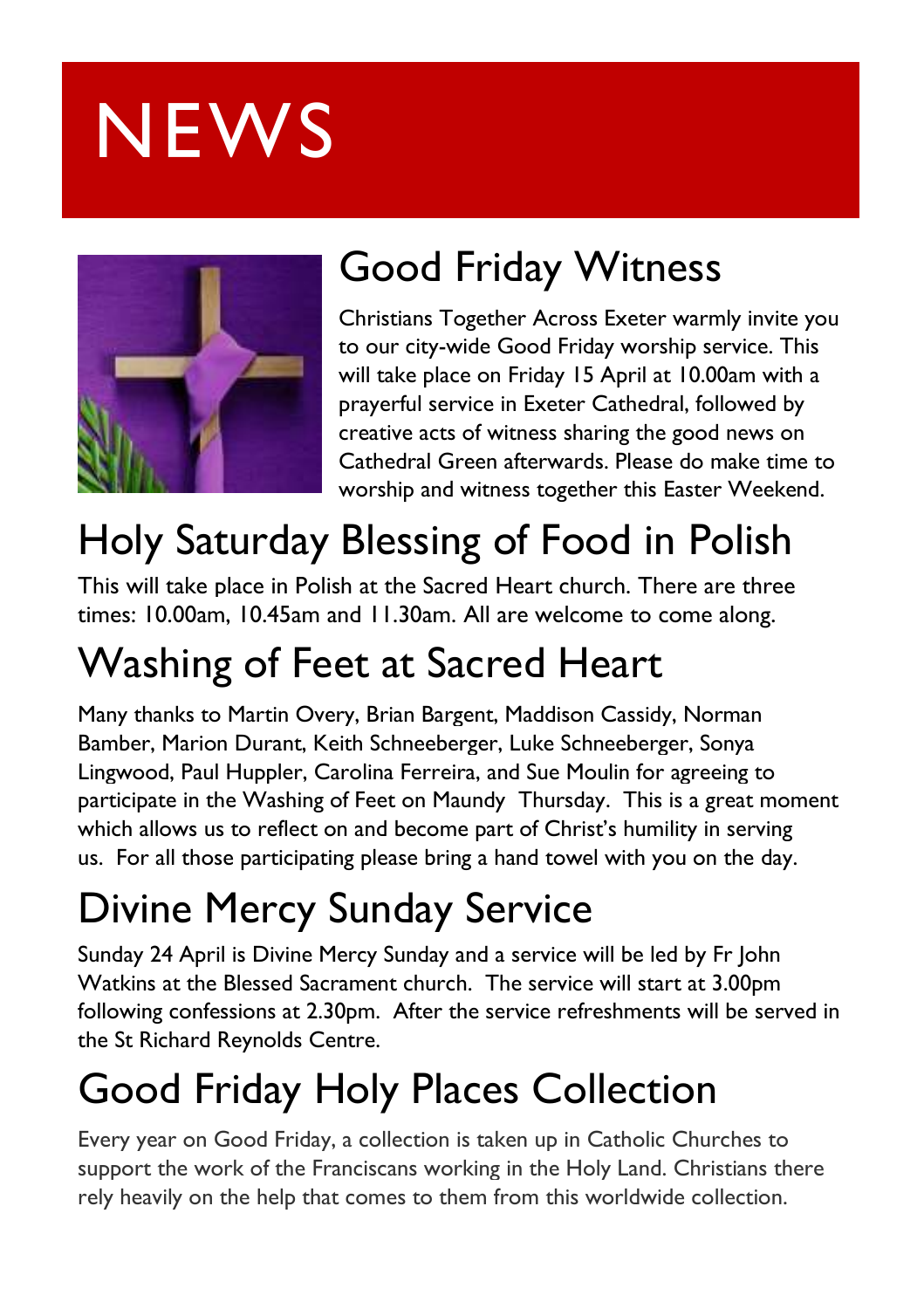# **NEWS**



### Good Friday Witness

Christians Together Across Exeter warmly invite you to our city-wide Good Friday worship service. This will take place on Friday 15 April at 10.00am with a prayerful service in Exeter Cathedral, followed by creative acts of witness sharing the good news on Cathedral Green afterwards. Please do make time to worship and witness together this Easter Weekend.

### Holy Saturday Blessing of Food in Polish

This will take place in Polish at the Sacred Heart church. There are three times: 10.00am, 10.45am and 11.30am. All are welcome to come along.

### Washing of Feet at Sacred Heart

Many thanks to Martin Overy, Brian Bargent, Maddison Cassidy, Norman Bamber, Marion Durant, Keith Schneeberger, Luke Schneeberger, Sonya Lingwood, Paul Huppler, Carolina Ferreira, and Sue Moulin for agreeing to participate in the Washing of Feet on Maundy Thursday. This is a great moment which allows us to reflect on and become part of Christ's humility in serving us. For all those participating please bring a hand towel with you on the day.

### Divine Mercy Sunday Service

Sunday 24 April is Divine Mercy Sunday and a service will be led by Fr John Watkins at the Blessed Sacrament church. The service will start at 3.00pm following confessions at 2.30pm. After the service refreshments will be served in the St Richard Reynolds Centre.

### Good Friday Holy Places Collection

Every year on Good Friday, a collection is taken up in Catholic Churches to support the work of the Franciscans working in the Holy Land. Christians there rely heavily on the help that comes to them from this worldwide collection.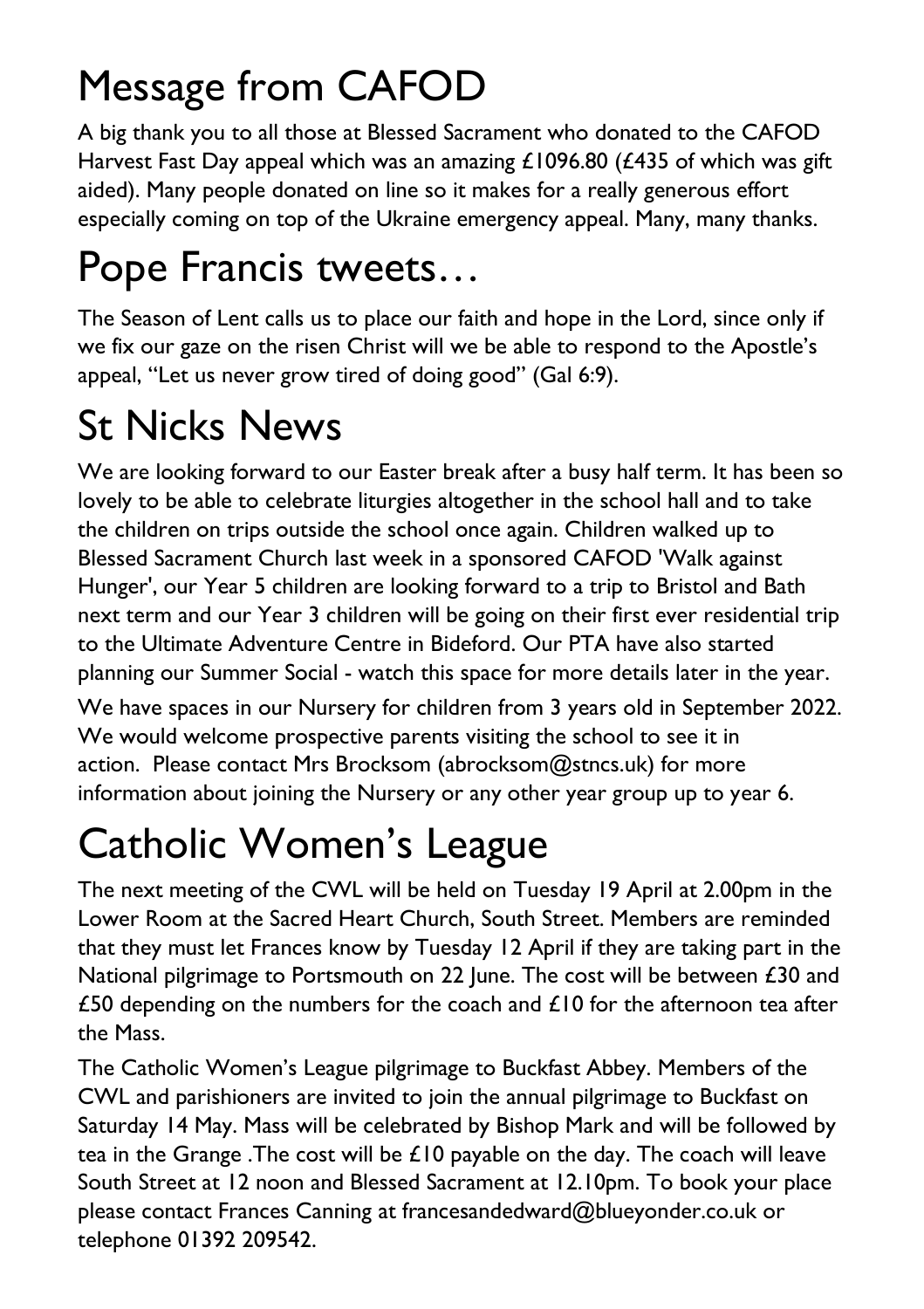### Message from CAFOD

A big thank you to all those at Blessed Sacrament who donated to the CAFOD Harvest Fast Day appeal which was an amazing  $\pounds$ 1096.80 ( $\pounds$ 435 of which was gift aided). Many people donated on line so it makes for a really generous effort especially coming on top of the Ukraine emergency appeal. Many, many thanks.

## Pope Francis tweets…

The Season of [Lent](https://twitter.com/hashtag/Lenten?src=hashtag_click) calls us to place our faith and hope in the Lord, since only if we fix our gaze on the risen Christ will we be able to respond to the Apostle's appeal, "Let us never grow tired of doing good" (Gal 6:9).

### St Nicks News

We are looking forward to our Easter break after a busy half term. It has been so lovely to be able to celebrate liturgies altogether in the school hall and to take the children on trips outside the school once again. Children walked up to Blessed Sacrament Church last week in a sponsored CAFOD 'Walk against Hunger', our Year 5 children are looking forward to a trip to Bristol and Bath next term and our Year 3 children will be going on their first ever residential trip to the Ultimate Adventure Centre in Bideford. Our PTA have also started planning our Summer Social - watch this space for more details later in the year.

We have spaces in our Nursery for children from 3 years old in September 2022. We would welcome prospective parents visiting the school to see it in action. Please contact Mrs Brocksom [\(abrocksom@stncs.uk\)](mailto:abrocksom@stncs.uk) for more information about joining the Nursery or any other year group up to year 6.

### Catholic Women's League

The next meeting of the CWL will be held on Tuesday 19 April at 2.00pm in the Lower Room at the Sacred Heart Church, South Street. Members are reminded that they must let Frances know by Tuesday 12 April if they are taking part in the National pilgrimage to Portsmouth on 22 June. The cost will be between £30 and £50 depending on the numbers for the coach and  $£10$  for the afternoon tea after the Mass.

The Catholic Women's League pilgrimage to Buckfast Abbey. Members of the CWL and parishioners are invited to join the annual pilgrimage to Buckfast on Saturday 14 May. Mass will be celebrated by Bishop Mark and will be followed by tea in the Grange. The cost will be  $£10$  payable on the day. The coach will leave South Street at 12 noon and Blessed Sacrament at 12.10pm. To book your place please contact Frances Canning at [francesandedward@blueyonder.co.uk](mailto:francesandedward@blueyonder.co.uk) or telephone 01392 209542.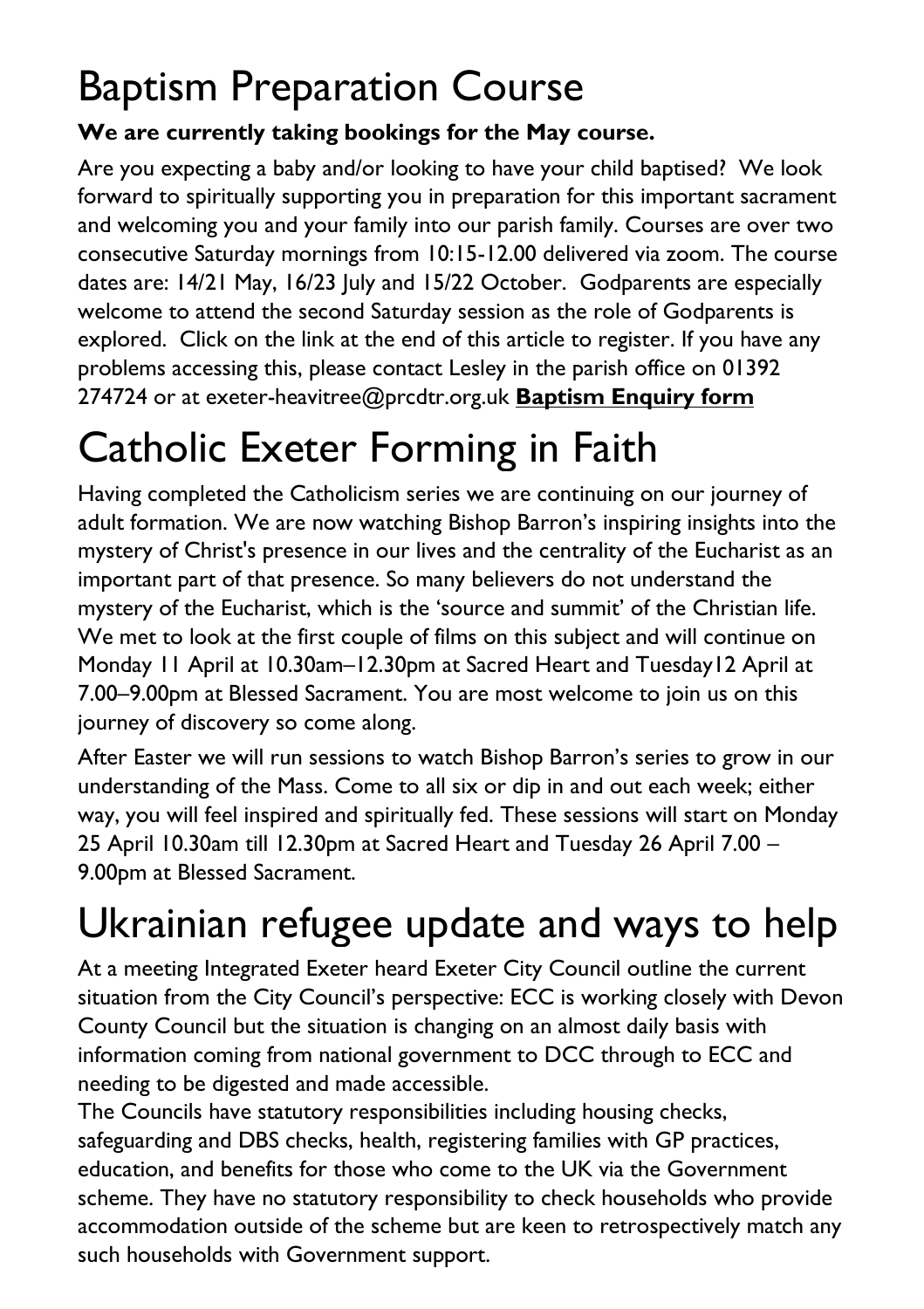#### Baptism Preparation Course

#### **We are currently taking bookings for the May course.**

Are you expecting a baby and/or looking to have your child baptised? We look forward to spiritually supporting you in preparation for this important sacrament and welcoming you and your family into our parish family. Courses are over two consecutive Saturday mornings from 10:15-12.00 delivered via zoom. The course dates are: 14/21 May, 16/23 July and 15/22 October. Godparents are especially welcome to attend the second Saturday session as the role of Godparents is explored. Click on the link at the end of this article to register. If you have any problems accessing this, please contact Lesley in the parish office on 01392 274724 or at [exeter-heavitree@prcdtr.org.uk](mailto:Exeter-heavitree@prcdtr.org.uk) **[Baptism Enquiry form](https://docs.google.com/forms/d/1bgbx-gDVZaqwyjbRS6c6lJrCh2Jt-5ZQYy-1tPBwM4g/edit)**

### Catholic Exeter Forming in Faith

Having completed the Catholicism series we are continuing on our journey of adult formation. We are now watching Bishop Barron's inspiring insights into the mystery of Christ's presence in our lives and the centrality of the Eucharist as an important part of that presence. So many believers do not understand the mystery of the Eucharist, which is the 'source and summit' of the Christian life. We met to look at the first couple of films on this subject and will continue on Monday 11 April at 10.30am–12.30pm at Sacred Heart and Tuesday12 April at 7.00–9.00pm at Blessed Sacrament. You are most welcome to join us on this journey of discovery so come along.

After Easter we will run sessions to watch Bishop Barron's series to grow in our understanding of the Mass. Come to all six or dip in and out each week; either way, you will feel inspired and spiritually fed. These sessions will start on Monday 25 April 10.30am till 12.30pm at Sacred Heart and Tuesday 26 April 7.00 – 9.00pm at Blessed Sacrament.

# Ukrainian refugee update and ways to help

At a meeting Integrated Exeter heard Exeter City Council outline the current situation from the City Council's perspective: ECC is working closely with Devon County Council but the situation is changing on an almost daily basis with information coming from national government to DCC through to ECC and needing to be digested and made accessible.

The Councils have statutory responsibilities including housing checks, safeguarding and DBS checks, health, registering families with GP practices, education, and benefits for those who come to the UK via the Government scheme. They have no statutory responsibility to check households who provide accommodation outside of the scheme but are keen to retrospectively match any such households with Government support.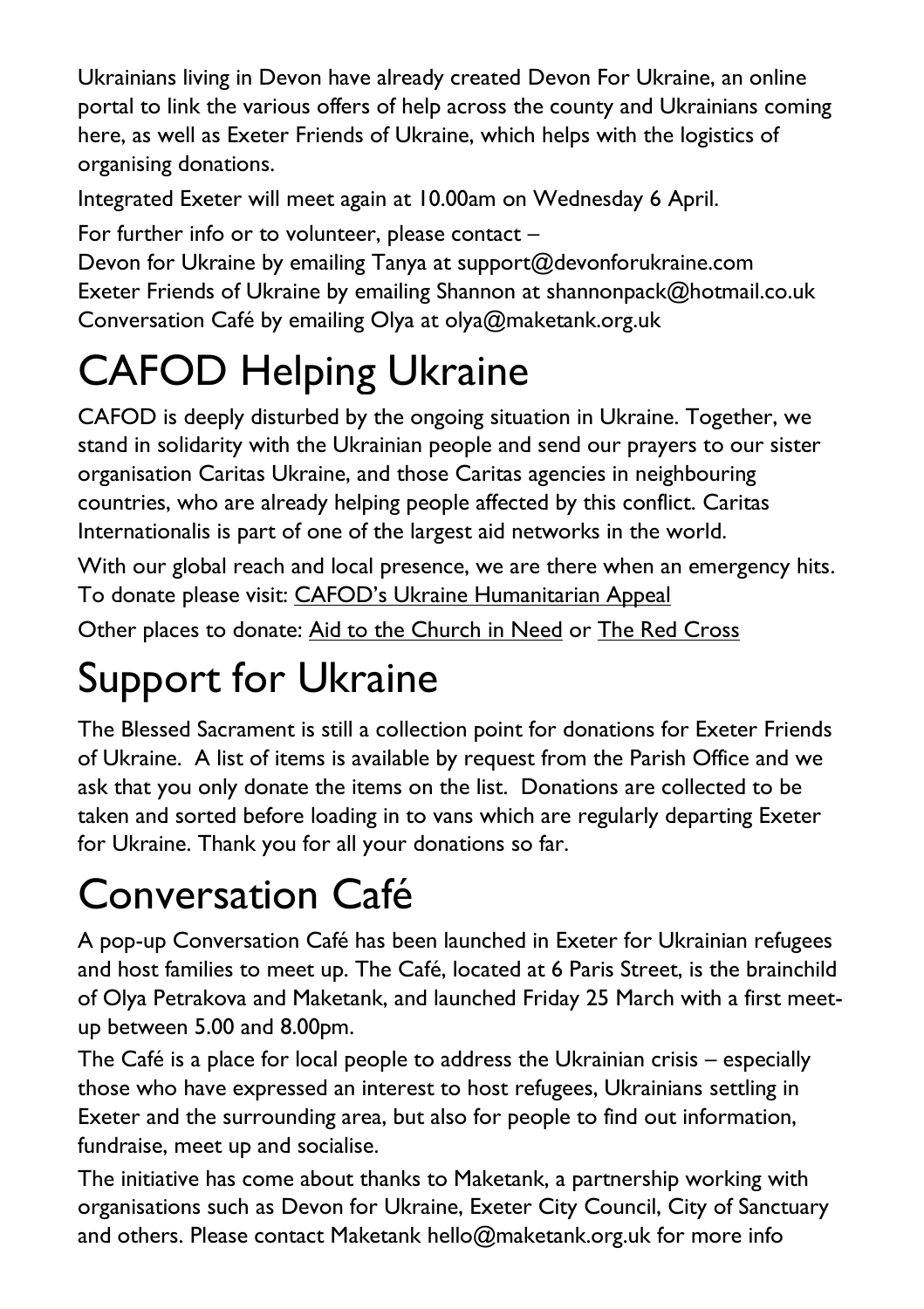Ukrainians living in Devon have already created Devon For Ukraine, an online portal to link the various offers of help across the county and Ukrainians coming here, as well as Exeter Friends of Ukraine, which helps with the logistics of organising donations.

Integrated Exeter will meet again at 10.00am on Wednesday 6 April.

For further info or to volunteer, please contact –

Devon for Ukraine by emailing Tanya at [support@devonforukraine.com](mailto:support@devonforukraine.com) Exeter Friends of Ukraine by emailing Shannon at [shannonpack@hotmail.co.uk](mailto:shannonpack@hotmail.co.uk) Conversation Café by emailing Olya at [olya@maketank.org.uk](mailto:olya@maketank.org.uk)

## CAFOD Helping Ukraine

CAFOD is deeply disturbed by the ongoing situation in Ukraine. Together, we stand in solidarity with the Ukrainian people and send our prayers to our sister organisation Caritas Ukraine, and those Caritas agencies in neighbouring countries, who are already helping people affected by this conflict. Caritas Internationalis is part of one of the largest aid networks in the world.

With our global reach and local presence, we are there when an emergency hits. To donate please visit: [CAFOD's Ukraine Humanitarian Appeal](https://cafod.org.uk/donations/picker?defaultuniversaltype=single&_Appeal=123770)

Other places to donate: [Aid to the Church in Need](https://acnuk.org/get-involved/donate/?ps_location=ZZDON-438-UNR-WEB&ps_frequency=one-off&ps_frequency=one-off&donation-amount=) or [The Red Cross](https://donate.redcross.org.uk/appeal/ukrainecrisis-appeal)

### Support for Ukraine

The Blessed Sacrament is still a collection point for donations for Exeter Friends of Ukraine. A list of items is available by request from the Parish Office and we ask that you only donate the items on the list. Donations are collected to be taken and sorted before loading in to vans which are regularly departing Exeter for Ukraine. Thank you for all your donations so far.

### Conversation Café

A pop-up Conversation Café has been launched in Exeter for Ukrainian refugees and host families to meet up. The Café, located at 6 Paris Street, is the brainchild of Olya Petrakova and Maketank, and launched Friday 25 March with a first meetup between 5.00 and 8.00pm.

The Café is a place for local people to address the Ukrainian crisis – especially those who have expressed an interest to host refugees, Ukrainians settling in Exeter and the surrounding area, but also for people to find out information, fundraise, meet up and socialise.

The initiative has come about thanks to Maketank, a partnership working with organisations such as Devon for Ukraine, Exeter City Council, City of Sanctuary and others. Please contact Maketank [hello@maketank.org.uk](mailto:hello@maketank.org.uk) for more info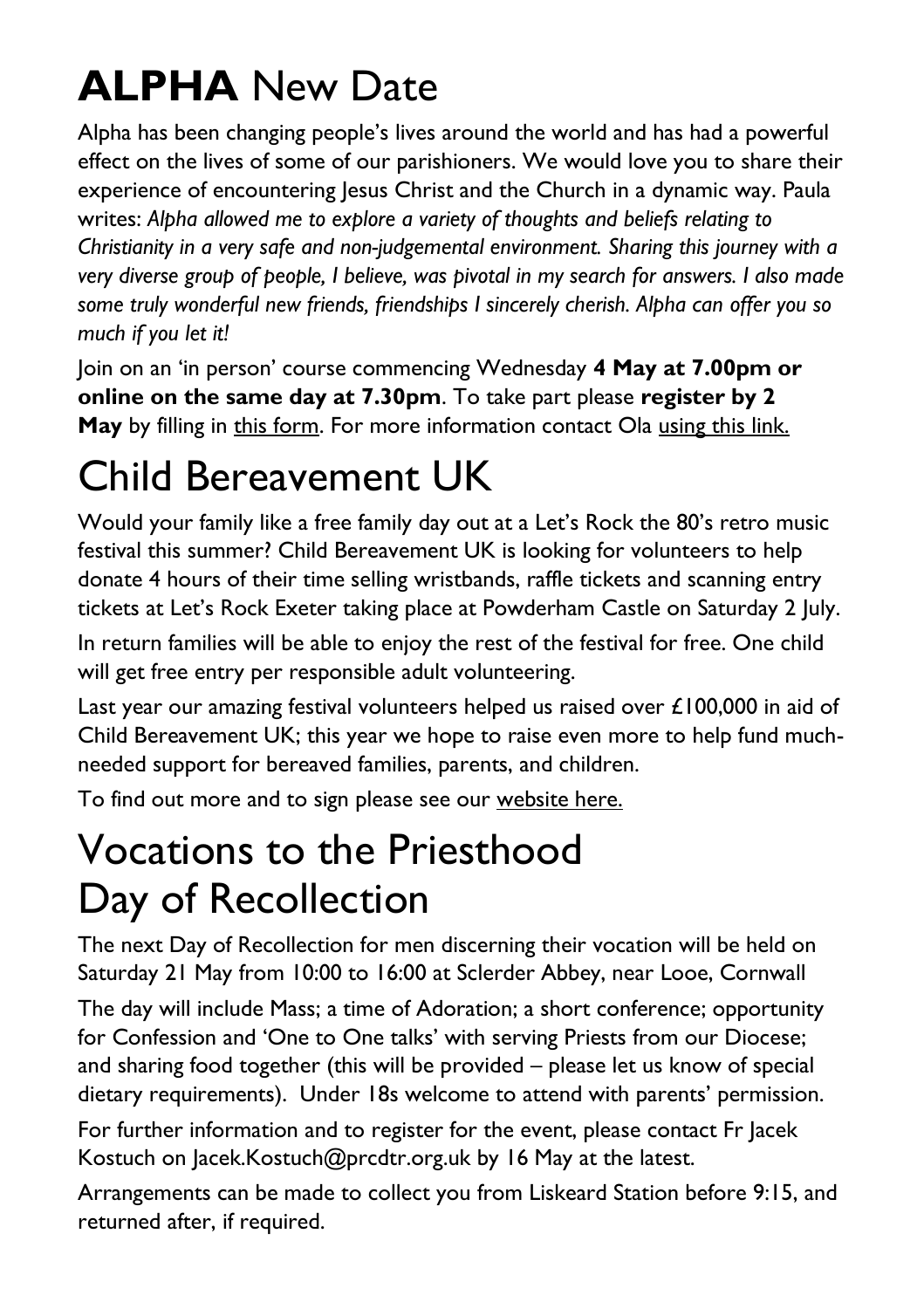### **ALPHA** New Date

Alpha has been changing people's lives around the world and has had a powerful effect on the lives of some of our parishioners. We would love you to share their experience of encountering Jesus Christ and the Church in a dynamic way. Paula writes: *Alpha allowed me to explore a variety of thoughts and beliefs relating to Christianity in a very safe and non-judgemental environment. Sharing this journey with a very diverse group of people, I believe, was pivotal in my search for answers. I also made some truly wonderful new friends, friendships I sincerely cherish. Alpha can offer you so much if you let it!*

Join on an 'in person' course commencing Wednesday **4 May at 7.00pm or online on the same day at 7.30pm**. To take part please **register by 2 May** by filling in this form. For more information contact Ola [using this link.](file:///C:/Users/jonathanstewart/Documents/1%20Catholic%20Exeter/Newsletter/2022/4.10/ola.godbeer@gmail.com)

#### Child Bereavement UK

Would your family like a free family day out at a Let's Rock the 80's retro music festival this summer? Child Bereavement UK is looking for volunteers to help donate 4 hours of their time selling wristbands, raffle tickets and scanning entry tickets at Let's Rock Exeter taking place at Powderham Castle on Saturday 2 July.

In return families will be able to enjoy the rest of the festival for free. One child will get free entry per responsible adult volunteering.

Last year our amazing festival volunteers helped us raised over £100,000 in aid of Child Bereavement UK; this year we hope to raise even more to help fund muchneeded support for bereaved families, parents, and children.

To find out more and to sign please see our [website here.](https://linkprotect.cudasvc.com/url?a=https%3a%2f%2fwww.childbereavementuk.org%2fEvent%2ffestivals&c=E,1,hM4zdZqvQZOVPxTWQ3oNqMItzMROPXeSU8ot9Fa7Kgf6Hrx5NxWuvQTLy2hyoHsLighkcVZPHbXPrBWL6C9yyzua8oldehydokm-lhXLe2oEEt9hRQeKTi3v&typo=1)

#### Vocations to the Priesthood Day of Recollection

The next Day of Recollection for men discerning their vocation will be held on Saturday 21 May from 10:00 to 16:00 at Sclerder Abbey, near Looe, Cornwall

The day will include Mass; a time of Adoration; a short conference; opportunity for Confession and 'One to One talks' with serving Priests from our Diocese; and sharing food together (this will be provided – please let us know of special dietary requirements). Under 18s welcome to attend with parents' permission.

For further information and to register for the event, please contact Fr Jacek Kostuch on [Jacek.Kostuch@prcdtr.org.uk](mailto:Jacek.Kostuch@prcdtr.org.uk) by 16 May at the latest.

Arrangements can be made to collect you from Liskeard Station before 9:15, and returned after, if required.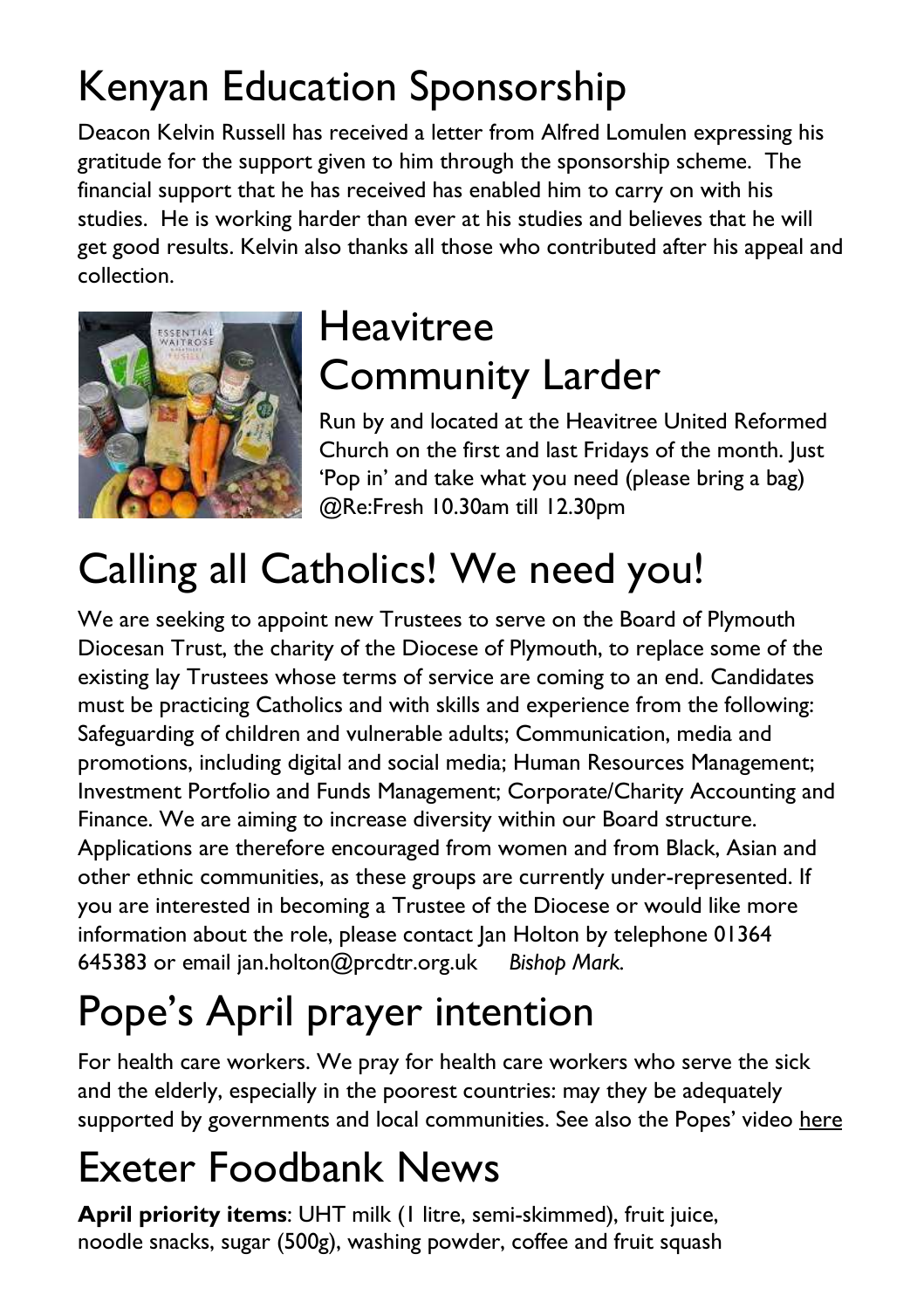## Kenyan Education Sponsorship

Deacon Kelvin Russell has received a letter from Alfred Lomulen expressing his gratitude for the support given to him through the sponsorship scheme. The financial support that he has received has enabled him to carry on with his studies. He is working harder than ever at his studies and believes that he will get good results. Kelvin also thanks all those who contributed after his appeal and collection.



#### Heavitree Community Larder

Run by and located at the Heavitree United Reformed Church on the first and last Fridays of the month. Just 'Pop in' and take what you need (please bring a bag) @Re:Fresh 10.30am till 12.30pm

## Calling all Catholics! We need you!

We are seeking to appoint new Trustees to serve on the Board of Plymouth Diocesan Trust, the charity of the Diocese of Plymouth, to replace some of the existing lay Trustees whose terms of service are coming to an end. Candidates must be practicing Catholics and with skills and experience from the following: Safeguarding of children and vulnerable adults; Communication, media and promotions, including digital and social media; Human Resources Management; Investment Portfolio and Funds Management; Corporate/Charity Accounting and Finance. We are aiming to increase diversity within our Board structure. Applications are therefore encouraged from women and from Black, Asian and other ethnic communities, as these groups are currently under-represented. If you are interested in becoming a Trustee of the Diocese or would like more information about the role, please contact Jan Holton by telephone 01364 645383 or email jan.holton@prcdtr.org.uk *Bishop Mark.*

## Pope's April prayer intention

For health care workers. We pray for health care workers who serve the sick and the elderly, especially in the poorest countries: may they be adequately supported by governments and local communities. See also the Popes' video [here](https://thepopevideo.org/)

### Exeter Foodbank News

**April priority items**: UHT milk (1 litre, semi-skimmed), fruit juice, noodle snacks, sugar (500g), washing powder, coffee and fruit squash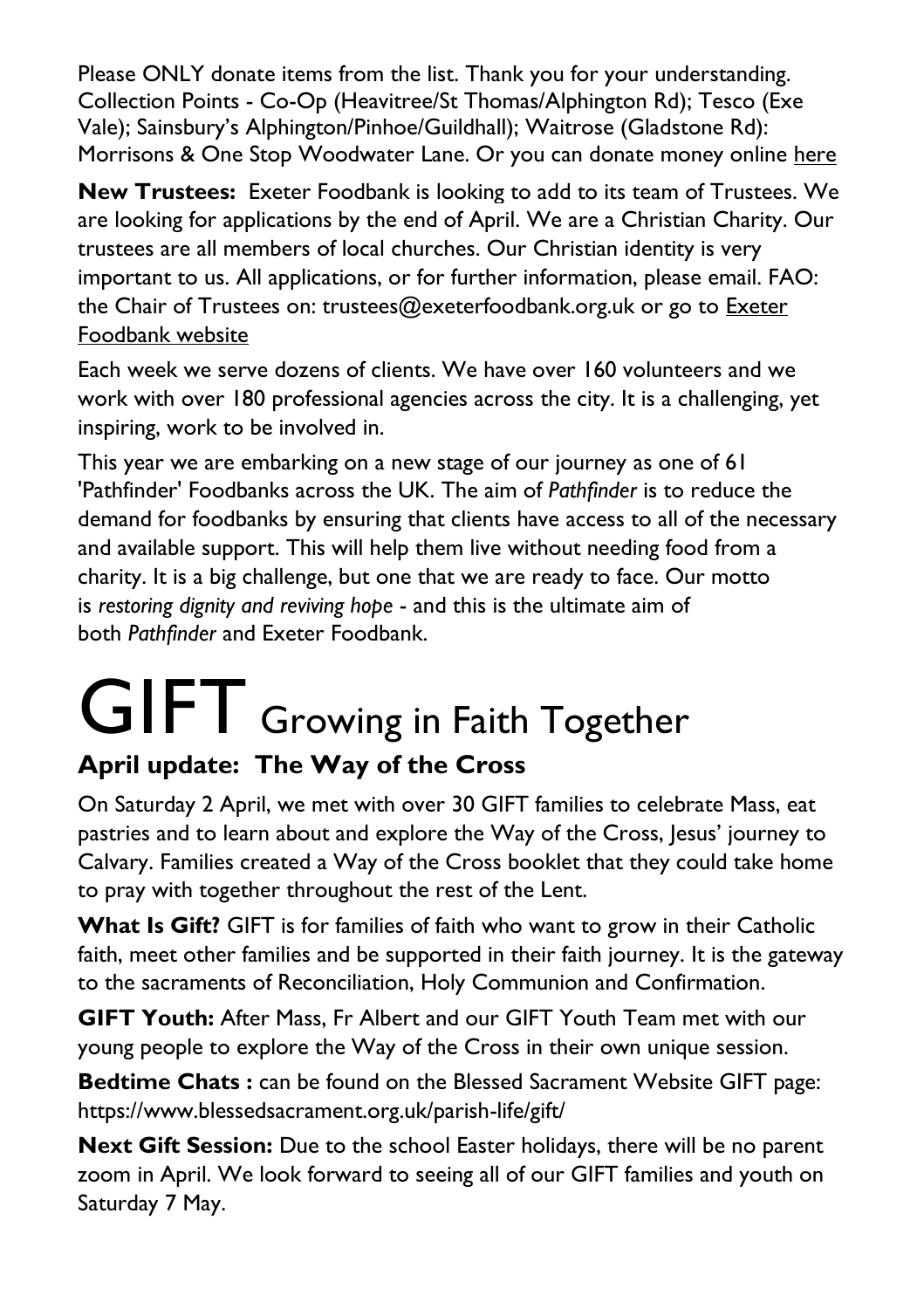Please ONLY donate items from the list. Thank you for your understanding. Collection Points - Co-Op (Heavitree/St Thomas/Alphington Rd); Tesco (Exe Vale); Sainsbury's Alphington/Pinhoe/Guildhall); Waitrose (Gladstone Rd): Morrisons & One Stop Woodwater Lane. Or you can donate money online [here](https://uk.virginmoneygiving.com/charity-web/charity/finalCharityHomepage.action?charityId=1016975&_ga=2.106832579.1384579075.1617955505-1667813714.1617955505)

**New Trustees:** Exeter Foodbank is looking to add to its team of Trustees. We are looking for applications by the end of April. We are a Christian Charity. Our trustees are all members of local churches. Our Christian identity is very important to us. All applications, or for further information, please email. FAO: the Chair of Trustees on: trustees@exeterfoodbank.org.uk or go to [Exeter](http://exeter.foodbank.org.uk/)  [Foodbank website](http://exeter.foodbank.org.uk/)

Each week we serve dozens of clients. We have over 160 volunteers and we work with over 180 professional agencies across the city. It is a challenging, yet inspiring, work to be involved in.

This year we are embarking on a new stage of our journey as one of 61 'Pathfinder' Foodbanks across the UK. The aim of *Pathfinder* is to reduce the demand for foodbanks by ensuring that clients have access to all of the necessary and available support. This will help them live without needing food from a charity. It is a big challenge, but one that we are ready to face. Our motto is *restoring dignity and reviving hope* - and this is the ultimate aim of both *Pathfinder* and Exeter Foodbank.

## GIFT Growing in Faith Together **April update: The Way of the Cross**

On Saturday 2 April, we met with over 30 GIFT families to celebrate Mass, eat pastries and to learn about and explore the Way of the Cross, Jesus' journey to Calvary. Families created a Way of the Cross booklet that they could take home to pray with together throughout the rest of the Lent.

**What Is Gift?** GIFT is for families of faith who want to grow in their Catholic faith, meet other families and be supported in their faith journey. It is the gateway to the sacraments of Reconciliation, Holy Communion and Confirmation.

**GIFT Youth:** After Mass, Fr Albert and our GIFT Youth Team met with our young people to explore the Way of the Cross in their own unique session.

**Bedtime Chats :** can be found on the Blessed Sacrament Website GIFT page: <https://www.blessedsacrament.org.uk/parish-life/gift/>

**Next Gift Session:** Due to the school Easter holidays, there will be no parent zoom in April. We look forward to seeing all of our GIFT families and youth on Saturday 7 May.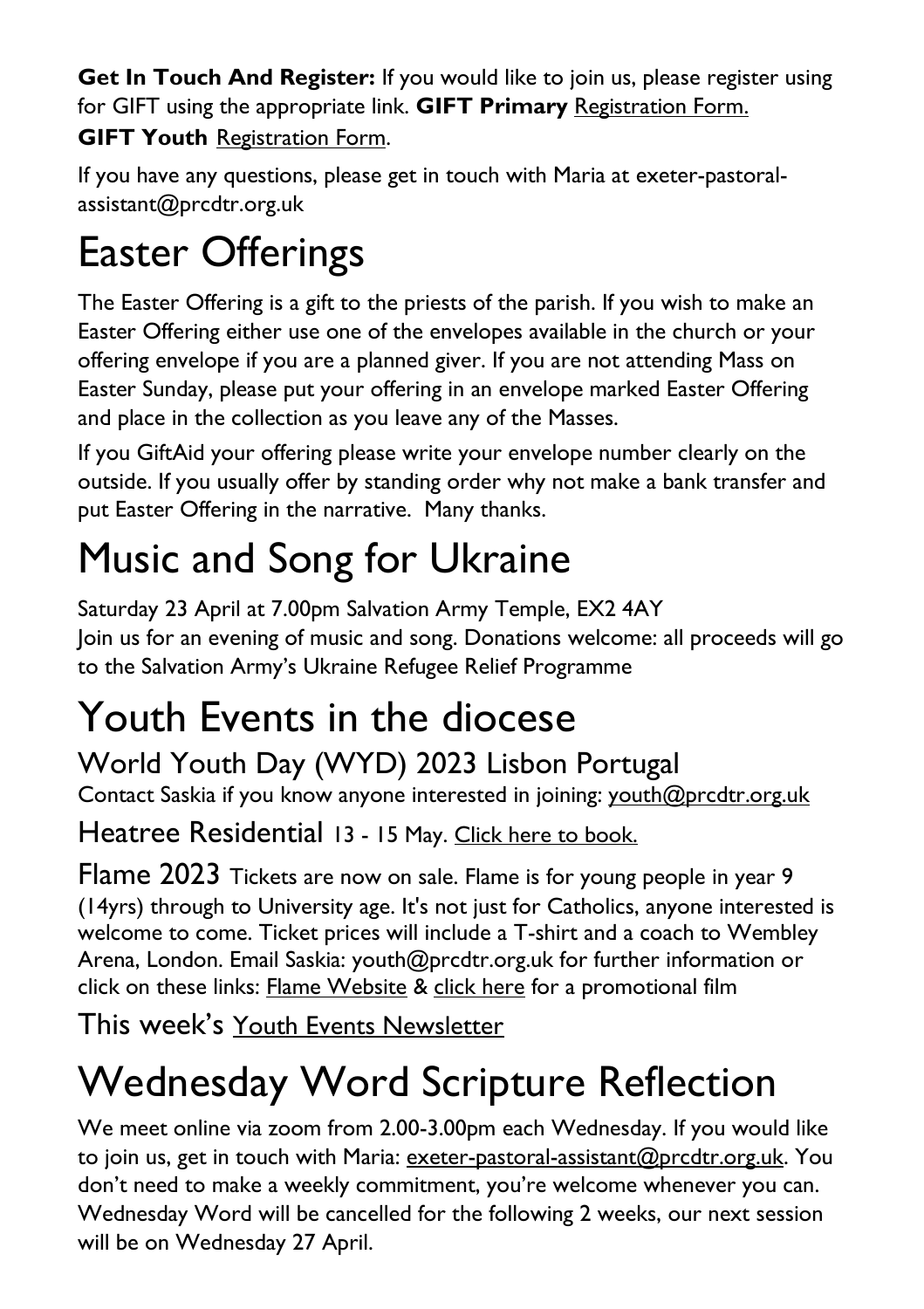**Get In Touch And Register:** If you would like to join us, please register using for GIFT using the appropriate link. **GIFT Primary** [Registration Form.](https://docs.google.com/forms/d/1Qs8jP69t9hS5V3ukZvm34yn8pDZdS0iDYrhXY_j8pMQ/edit) **GIFT Youth** [Registration](https://docs.google.com/forms/d/1js2AU2QewgH1ui7kjv2-mKDJcyulRGa34G-Eo3ao8FI/edit) Form.

If you have any questions, please get in touch with Maria at [exeter-pastoral](mailto:exeter-pastoral-assistant@prcdtr.org.uk)[assistant@prcdtr.org.uk](mailto:exeter-pastoral-assistant@prcdtr.org.uk)

### Easter Offerings

The Easter Offering is a gift to the priests of the parish. If you wish to make an Easter Offering either use one of the envelopes available in the church or your offering envelope if you are a planned giver. If you are not attending Mass on Easter Sunday, please put your offering in an envelope marked Easter Offering and place in the collection as you leave any of the Masses.

If you GiftAid your offering please write your envelope number clearly on the outside. If you usually offer by standing order why not make a bank transfer and put Easter Offering in the narrative. Many thanks.

## Music and Song for Ukraine

Saturday 23 April at 7.00pm Salvation Army Temple, EX2 4AY Join us for an evening of music and song. Donations welcome: all proceeds will go to the Salvation Army's Ukraine Refugee Relief Programme

### Youth Events in the diocese

#### World Youth Day (WYD) 2023 Lisbon Portugal

Contact Saskia if you know anyone interested in joining: [youth@prcdtr.org.uk](mailto:youth@prcdtr.org.uk)

Heatree Residential 13 - 15 May. [Click here to book.](https://linkprotect.cudasvc.com/url?a=https%3a%2f%2femail.workwithgusto.co.uk%2ft%2ft-l-qobz-jliihdujhk-t%2f&c=E,1,uTd0l8Q_M52Y_ElGkKKS0VyY-UpsQ5VmxTBtyAkC4U6lvj9hJdTURkr9WlUnW52p2yAR3fLdGROZ96NnLzDqYorCr5NK_xcxze5Ssc74_zhVnQ,,&typo=1)

Flame 2023 Tickets are now on sale. Flame is for young people in year 9 (14yrs) through to University age. It's not just for Catholics, anyone interested is welcome to come. Ticket prices will include a T-shirt and a coach to Wembley Arena, London. Email Saskia: [youth@prcdtr.org.uk](mailto:youth@prcdtr.org.uk) for further information or click on these links: [Flame Website](https://linkprotect.cudasvc.com/url?a=https%3a%2f%2femail.workwithgusto.co.uk%2ft%2ft-l-qctujk-jlhtkkath-r%2f&c=E,1,Blk2ycDETYSiwjdC8Eum_yXBXPyalX-b89WAcrqe2YMLelINKYiJZh6-LBH8JPoujeqNupfBVu_8vYI4vpIXwhWWATVyeEad53kAGgn5xuT7TYzo2Q,,&typo=1) & [click here](https://www.youtube.com/watch?v=_HKvdbJ1PIE) for a promotional film

This week's Youth Events [Newsletter](https://email.workwithgusto.co.uk/t/ViewEmail/t/D439AF91098F4D252540EF23F30FEDED/64D6CFA83B380FDFF99AA49ED5AF8B9E?alternativeLink=False)

# Wednesday Word Scripture Reflection

We meet online via zoom from 2.00-3.00pm each Wednesday. If you would like to join us, get in touch with Maria: [exeter-pastoral-assistant@prcdtr.org.uk.](mailto:exeter-pastoral-assistant@prcdtr.org.uk) You don't need to make a weekly commitment, you're welcome whenever you can. Wednesday Word will be cancelled for the following 2 weeks, our next session will be on Wednesday 27 April.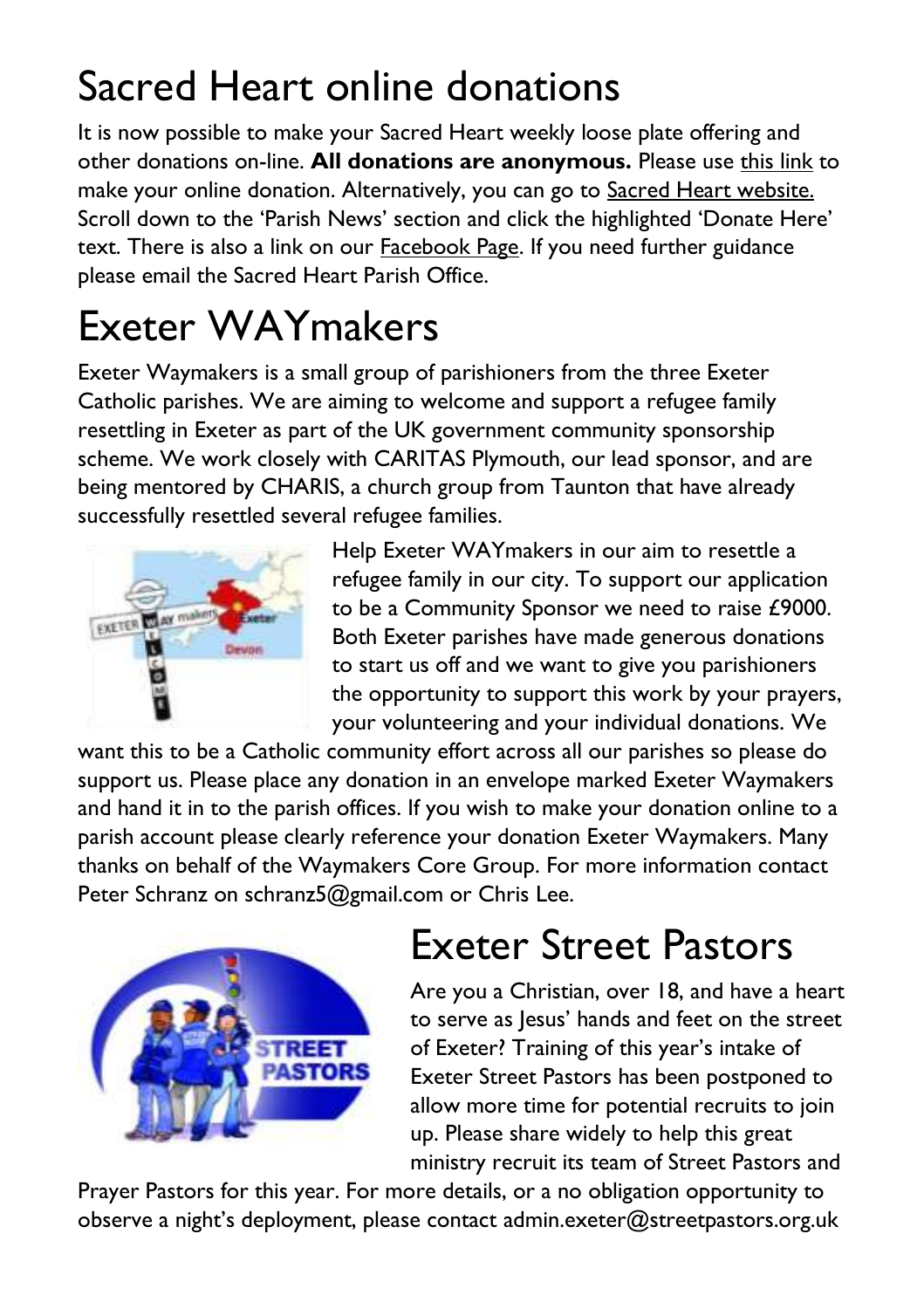### Sacred Heart online donations

It is now possible to make your Sacred Heart weekly loose plate offering and other donations on-line. **All donations are anonymous.** Please use [this link](https://givealittle.co/campaigns/f94e8739-d2fd-4ce6-9fca60470ef39403) to make your online donation. Alternatively, you can go to [Sacred Heart website.](https://www.sacredheartexeter.org/) Scroll down to the 'Parish News' section and click the highlighted 'Donate Here' text. There is also a link on our [Facebook Page.](https://www.facebook.com/Sacred-HeartCatholic-Church-Exeter-422138011310698) If you need further guidance please email the Sacred Heart Parish Office.

### Exeter WAYmakers

Exeter Waymakers is a small group of parishioners from the three Exeter Catholic parishes. We are aiming to welcome and support a refugee family resettling in Exeter as part of the UK government community sponsorship scheme. We work closely with CARITAS Plymouth, our lead sponsor, and are being mentored by CHARIS, a church group from Taunton that have already successfully resettled several refugee families.



Help Exeter WAYmakers in our aim to resettle a refugee family in our city. To support our application to be a Community Sponsor we need to raise £9000. Both Exeter parishes have made generous donations to start us off and we want to give you parishioners the opportunity to support this work by your prayers, your volunteering and your individual donations. We

want this to be a Catholic community effort across all our parishes so please do support us. Please place any donation in an envelope marked Exeter Waymakers and hand it in to the parish offices. If you wish to make your donation online to a parish account please clearly reference your donation Exeter Waymakers. Many thanks on behalf of the Waymakers Core Group. For more information contact Peter Schranz on schranz5@gmail.com or Chris Lee.



### Exeter Street Pastors

Are you a Christian, over 18, and have a heart to serve as Jesus' hands and feet on the street of Exeter? Training of this year's intake of Exeter Street Pastors has been postponed to allow more time for potential recruits to join up. Please share widely to help this great ministry recruit its team of Street Pastors and

Prayer Pastors for this year. For more details, or a no obligation opportunity to observe a night's deployment, please contact [admin.exeter@streetpastors.org.uk](mailto:admin.exeter@streetpastors.org.uk)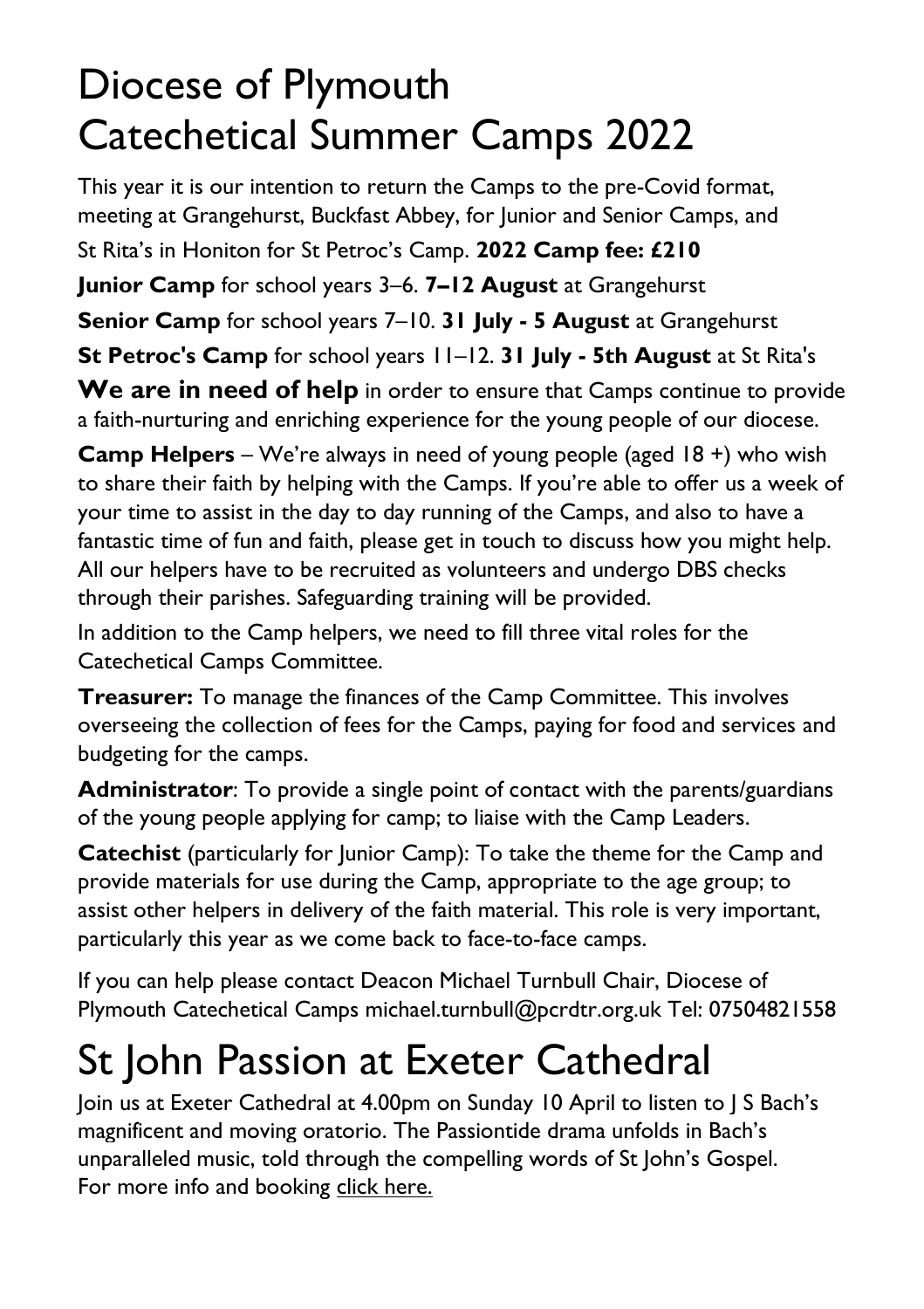#### Diocese of Plymouth Catechetical Summer Camps 2022

This year it is our intention to return the Camps to the pre-Covid format, meeting at Grangehurst, Buckfast Abbey, for Junior and Senior Camps, and St Rita's in Honiton for St Petroc's Camp. **2022 Camp fee: £210 Junior Camp** for school years 3–6. **7–12 August** at Grangehurst **Senior Camp** for school years 7–10. **31 July - 5 August** at Grangehurst **St Petroc's Camp** for school years 11–12. **31 July - 5th August** at St Rita's We are in need of help in order to ensure that Camps continue to provide a faith-nurturing and enriching experience for the young people of our diocese.

**Camp Helpers** – We're always in need of young people (aged 18 +) who wish to share their faith by helping with the Camps. If you're able to offer us a week of your time to assist in the day to day running of the Camps, and also to have a fantastic time of fun and faith, please get in touch to discuss how you might help. All our helpers have to be recruited as volunteers and undergo DBS checks through their parishes. Safeguarding training will be provided.

In addition to the Camp helpers, we need to fill three vital roles for the Catechetical Camps Committee.

**Treasurer:** To manage the finances of the Camp Committee. This involves overseeing the collection of fees for the Camps, paying for food and services and budgeting for the camps.

**Administrator**: To provide a single point of contact with the parents/guardians of the young people applying for camp; to liaise with the Camp Leaders.

**Catechist** (particularly for Junior Camp): To take the theme for the Camp and provide materials for use during the Camp, appropriate to the age group; to assist other helpers in delivery of the faith material. This role is very important, particularly this year as we come back to face-to-face camps.

If you can help please contact Deacon Michael Turnbull Chair, Diocese of Plymouth Catechetical Camps michael.turnbull@pcrdtr.org.uk Tel: 07504821558

### St John Passion at Exeter Cathedral

Join us at Exeter Cathedral at 4.00pm on Sunday 10 April to listen to J S Bach's magnificent and moving oratorio. The Passiontide drama unfolds in Bach's unparalleled music, told through the compelling words of St John's Gospel. For more info and booking [click here.](https://www.exeter-cathedral.org.uk/whats-on/events/j-s-bach-st-john-passion-20220410-160000/)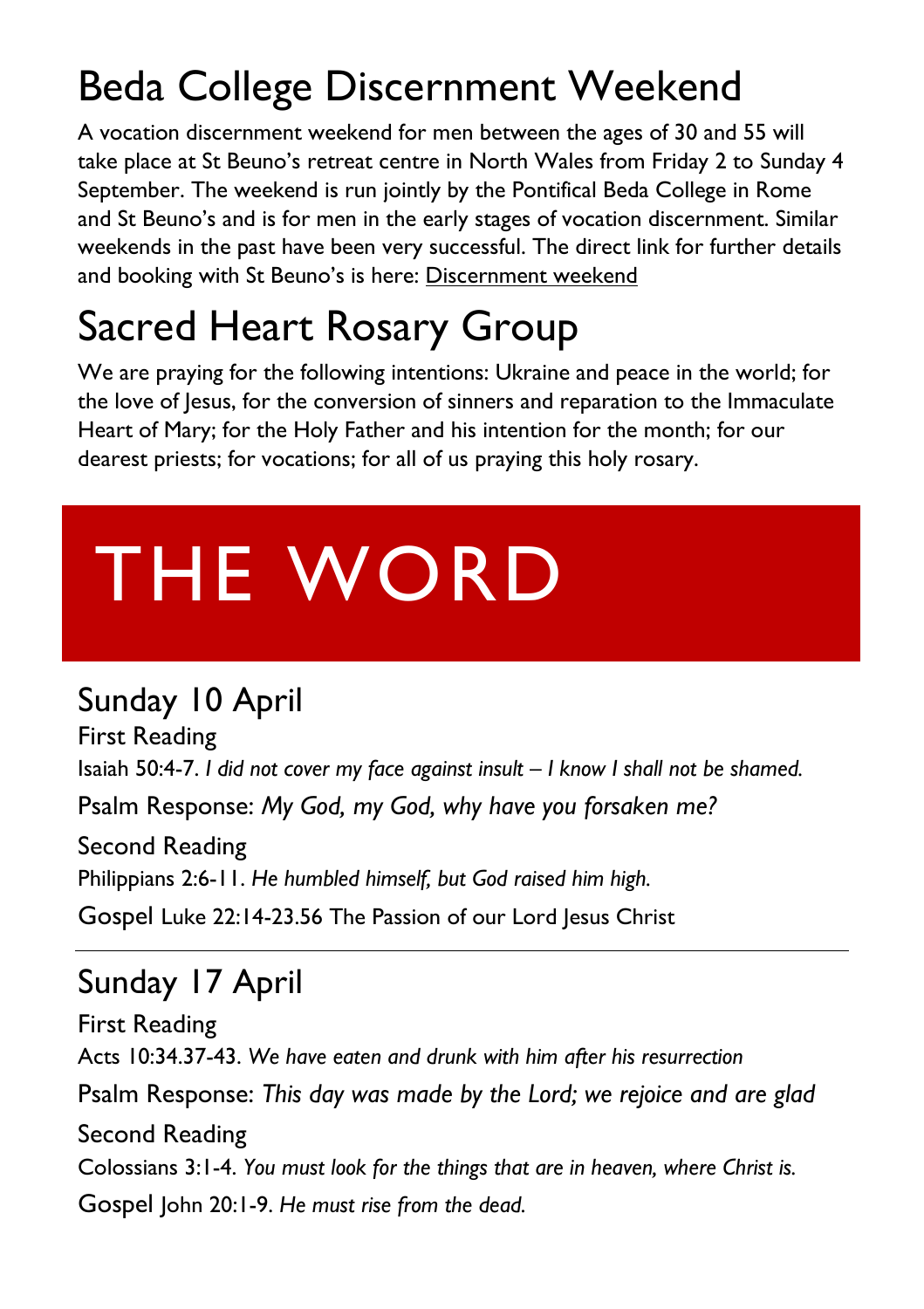#### Beda College Discernment Weekend

A vocation discernment weekend for men between the ages of 30 and 55 will take place at St Beuno's retreat centre in North Wales from Friday 2 to Sunday 4 September. The weekend is run jointly by the Pontifical Beda College in Rome and St Beuno's and is for men in the early stages of vocation discernment. Similar weekends in the past have been very successful. The direct link for further details and booking with St Beuno's is here: [Discernment weekend](file:///C:/Users/administrator1/Documents/Catholic%20Exeter%20News/Discernment%20Weekend%20for%20Older%20Men%20|%20Pathways%20to%20God)

### Sacred Heart Rosary Group

We are praying for the following intentions: Ukraine and peace in the world; for the love of Jesus, for the conversion of sinners and reparation to the Immaculate Heart of Mary; for the Holy Father and his intention for the month; for our dearest priests; for vocations; for all of us praying this holy rosary.

# THE WORD

#### Sunday 10 April

First Reading Isaiah 50:4-7. *I did not cover my face against insult – I know I shall not be shamed.* Psalm Response: *My God, my God, why have you forsaken me?*

Second Reading Philippians 2:6-11. *He humbled himself, but God raised him high.*

Gospel Luke 22:14-23.56 The Passion of our Lord Jesus Christ

#### Sunday 17 April

First Reading Acts 10:34.37-43. *We have eaten and drunk with him after his resurrection* Psalm Response: *This day was made by the Lord; we rejoice and are glad* Second Reading Colossians 3:1-4. *You must look for the things that are in heaven, where Christ is.* Gospel John 20:1-9. *He must rise from the dead.*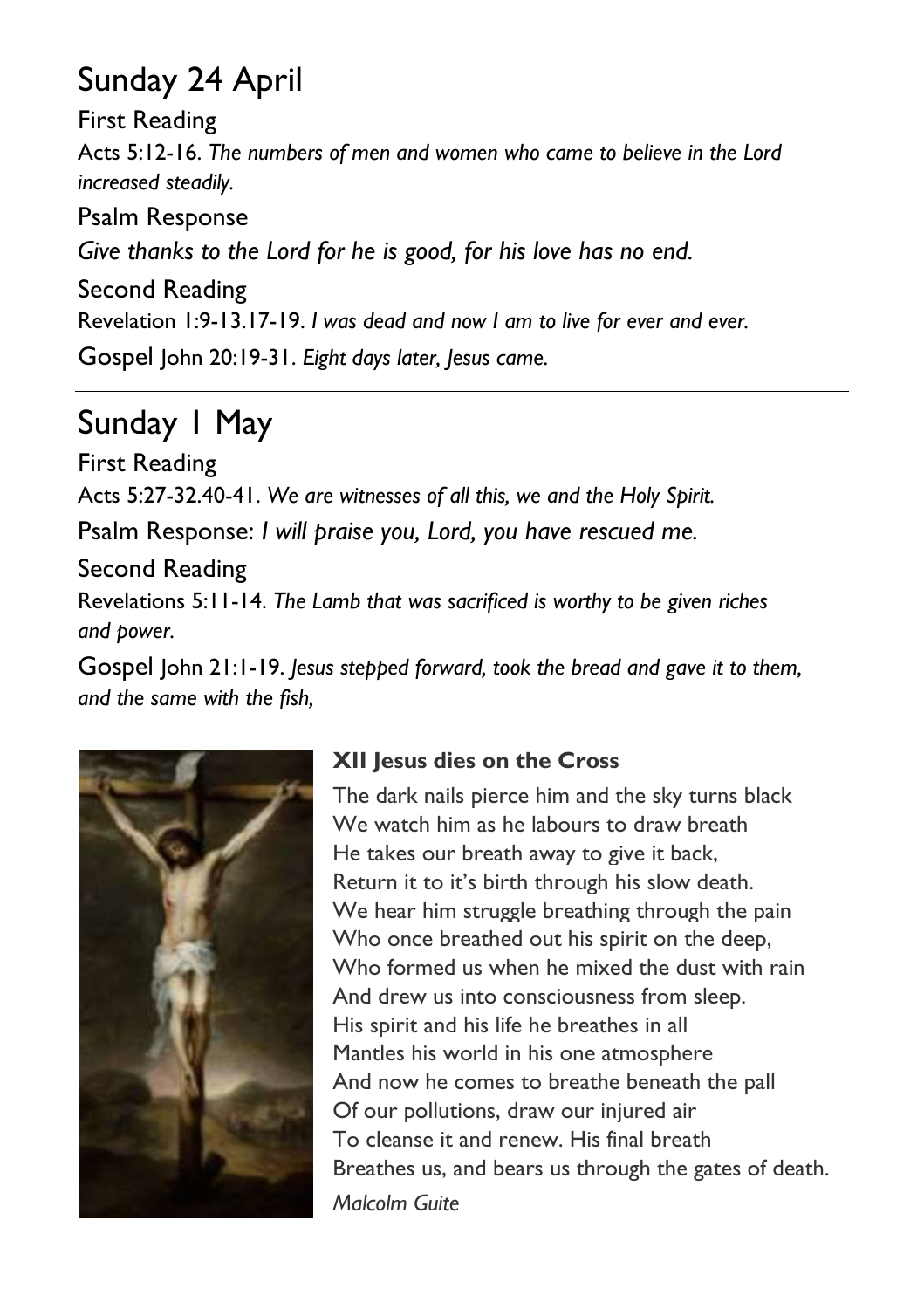#### Sunday 24 April

First Reading Acts 5:12-16. *The numbers of men and women who came to believe in the Lord increased steadily.*

Psalm Response *Give thanks to the Lord for he is good, for his love has no end.* Second Reading Revelation 1:9-13.17-19. *I was dead and now I am to live for ever and ever.* Gospel John 20:19-31. *Eight days later, Jesus came.*

#### Sunday 1 May

First Reading Acts 5:27-32.40-41. *We are witnesses of all this, we and the Holy Spirit.* Psalm Response: *I will praise you, Lord, you have rescued me.*

Second Reading Revelations 5:11-14. *The Lamb that was sacrificed is worthy to be given riches and power.*

Gospel John 21:1-19. *Jesus stepped forward, took the bread and gave it to them, and the same with the fish,*



#### **XII Jesus dies on the Cross**

The dark nails pierce him and the sky turns black We watch him as he labours to draw breath He takes our breath away to give it back, Return it to it's birth through his slow death. We hear him struggle breathing through the pain Who once breathed out his spirit on the deep, Who formed us when he mixed the dust with rain And drew us into consciousness from sleep. His spirit and his life he breathes in all Mantles his world in his one atmosphere And now he comes to breathe beneath the pall Of our pollutions, draw our injured air To cleanse it and renew. His final breath Breathes us, and bears us through the gates of death. *Malcolm Guite*